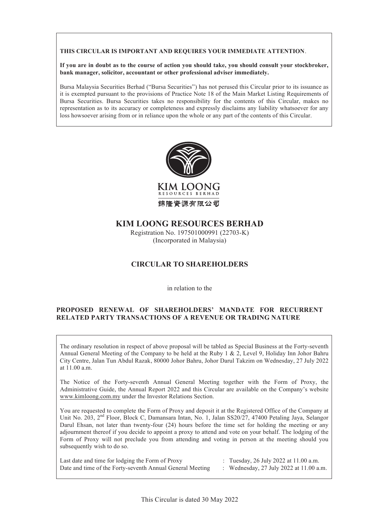#### **THIS CIRCULAR IS IMPORTANT AND REQUIRES YOUR IMMEDIATE ATTENTION**.

If you are in doubt as to the course of action you should take, you should consult your stockbroker, **bank manager, solicitor, accountant or other professional adviser immediately.**

Bursa Malaysia Securities Berhad ("Bursa Securities") has not perused this Circular prior to its issuance as it is exempted pursuant to the provisions of Practice Note 18 of the Main Market Listing Requirements of Bursa Securities. Bursa Securities takes no responsibility for the contents of this Circular, makes no representation as to its accuracy or completeness and expressly disclaims any liability whatsoever for any loss howsoever arising from or in reliance upon the whole or any part of the contents of this Circular.



# **KIM LOONG RESOURCES BERHAD**

Registration No. 197501000991 (22703-K) (Incorporated in Malaysia)

# **CIRCULAR TO SHAREHOLDERS**

in relation to the

## **PROPOSED RENEWAL OF SHAREHOLDERS' MANDATE FOR RECURRENT RELATED PARTY TRANSACTIONS OF A REVENUE OR TRADING NATURE**

The ordinary resolution in respect of above proposal will be tabled as Special Business at the Forty-seventh Annual General Meeting of the Company to be held at the Ruby 1 & 2, Level 9, Holiday Inn Johor Bahru City Centre, Jalan Tun Abdul Razak, 80000 Johor Bahru, Johor Darul Takzim on Wednesday, 27 July 2022 at 11.00 a.m.

The Notice of the Forty-seventh Annual General Meeting together with the Form of Proxy, the Administrative Guide, the Annual Report 2022 and this Circular are available on the Company's website www.kimloong.com.my under the Investor Relations Section.

You are requested to complete the Form of Proxy and deposit it at the Registered Office of the Company at Unit No. 203, 2<sup>nd</sup> Floor, Block C, Damansara Intan, No. 1, Jalan SS20/27, 47400 Petaling Jaya, Selangor Darul Ehsan, not later than twenty-four (24) hours before the time set for holding the meeting or any adjournment thereof if you decide to appoint a proxy to attend and vote on your behalf. The lodging of the Form of Proxy will not preclude you from attending and voting in person at the meeting should you subsequently wish to do so.

Last date and time for lodging the Form of Proxy : Tuesday, 26 July 2022 at 11.00 a.m. Date and time of the Forty-seventh Annual General Meeting : Wednesday, 27 July 2022 at 11.00 a.m.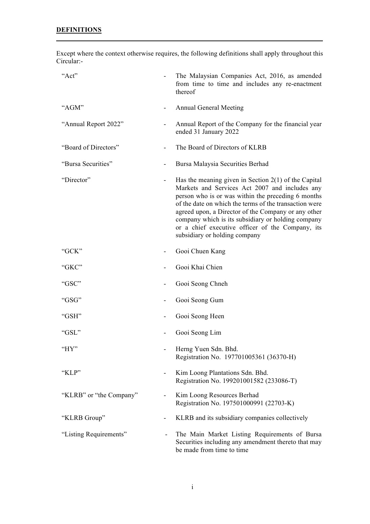Except where the context otherwise requires, the following definitions shall apply throughout this Circular:-

| "Act"                   | The Malaysian Companies Act, 2016, as amended<br>from time to time and includes any re-enactment<br>thereof                                                                                                                                                                                                                                                                                                                |
|-------------------------|----------------------------------------------------------------------------------------------------------------------------------------------------------------------------------------------------------------------------------------------------------------------------------------------------------------------------------------------------------------------------------------------------------------------------|
| "AGM"                   | <b>Annual General Meeting</b>                                                                                                                                                                                                                                                                                                                                                                                              |
| "Annual Report 2022"    | Annual Report of the Company for the financial year<br>ended 31 January 2022                                                                                                                                                                                                                                                                                                                                               |
| "Board of Directors"    | The Board of Directors of KLRB                                                                                                                                                                                                                                                                                                                                                                                             |
| "Bursa Securities"      | Bursa Malaysia Securities Berhad                                                                                                                                                                                                                                                                                                                                                                                           |
| "Director"              | Has the meaning given in Section $2(1)$ of the Capital<br>Markets and Services Act 2007 and includes any<br>person who is or was within the preceding 6 months<br>of the date on which the terms of the transaction were<br>agreed upon, a Director of the Company or any other<br>company which is its subsidiary or holding company<br>or a chief executive officer of the Company, its<br>subsidiary or holding company |
| "GCK"                   | Gooi Chuen Kang                                                                                                                                                                                                                                                                                                                                                                                                            |
| "GKC"                   | Gooi Khai Chien                                                                                                                                                                                                                                                                                                                                                                                                            |
| "GSC"                   | Gooi Seong Chneh                                                                                                                                                                                                                                                                                                                                                                                                           |
| "GSG"                   | Gooi Seong Gum                                                                                                                                                                                                                                                                                                                                                                                                             |
| "GSH"                   | Gooi Seong Heen                                                                                                                                                                                                                                                                                                                                                                                                            |
| "GSL"                   | Gooi Seong Lim                                                                                                                                                                                                                                                                                                                                                                                                             |
| "HY"                    | Herng Yuen Sdn. Bhd.<br>Registration No. 197701005361 (36370-H)                                                                                                                                                                                                                                                                                                                                                            |
| "KLP"                   | Kim Loong Plantations Sdn. Bhd.<br>Registration No. 199201001582 (233086-T)                                                                                                                                                                                                                                                                                                                                                |
| "KLRB" or "the Company" | Kim Loong Resources Berhad<br>Registration No. 197501000991 (22703-K)                                                                                                                                                                                                                                                                                                                                                      |
| "KLRB Group"            | KLRB and its subsidiary companies collectively                                                                                                                                                                                                                                                                                                                                                                             |
| "Listing Requirements"  | The Main Market Listing Requirements of Bursa<br>Securities including any amendment thereto that may<br>be made from time to time                                                                                                                                                                                                                                                                                          |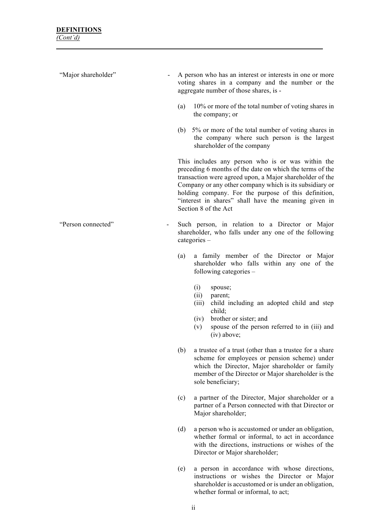| "Major shareholder" | A person who has an interest or interests in one or more<br>voting shares in a company and the number or the<br>aggregate number of those shares, is -                                                                                                                                                                                                                       |                                                                                                                                                                                                                                       |  |  |  |
|---------------------|------------------------------------------------------------------------------------------------------------------------------------------------------------------------------------------------------------------------------------------------------------------------------------------------------------------------------------------------------------------------------|---------------------------------------------------------------------------------------------------------------------------------------------------------------------------------------------------------------------------------------|--|--|--|
|                     | (a)                                                                                                                                                                                                                                                                                                                                                                          | 10% or more of the total number of voting shares in<br>the company; or                                                                                                                                                                |  |  |  |
|                     |                                                                                                                                                                                                                                                                                                                                                                              | (b) 5% or more of the total number of voting shares in<br>the company where such person is the largest<br>shareholder of the company                                                                                                  |  |  |  |
|                     | This includes any person who is or was within the<br>preceding 6 months of the date on which the terms of the<br>transaction were agreed upon, a Major shareholder of the<br>Company or any other company which is its subsidiary or<br>holding company. For the purpose of this definition,<br>"interest in shares" shall have the meaning given in<br>Section 8 of the Act |                                                                                                                                                                                                                                       |  |  |  |
| "Person connected"  |                                                                                                                                                                                                                                                                                                                                                                              | Such person, in relation to a Director or Major<br>shareholder, who falls under any one of the following<br>$categories -$                                                                                                            |  |  |  |
|                     | (a)                                                                                                                                                                                                                                                                                                                                                                          | a family member of the Director or Major<br>shareholder who falls within any one of the<br>following categories –                                                                                                                     |  |  |  |
|                     |                                                                                                                                                                                                                                                                                                                                                                              | (i)<br>spouse;<br>(ii)<br>parent;<br>child including an adopted child and step<br>(iii)<br>child;<br>brother or sister; and<br>(iv)<br>spouse of the person referred to in (iii) and<br>(v)<br>$(iv)$ above;                          |  |  |  |
|                     | (b)                                                                                                                                                                                                                                                                                                                                                                          | a trustee of a trust (other than a trustee for a share<br>scheme for employees or pension scheme) under<br>which the Director, Major shareholder or family<br>member of the Director or Major shareholder is the<br>sole beneficiary; |  |  |  |
|                     | (c)                                                                                                                                                                                                                                                                                                                                                                          | a partner of the Director, Major shareholder or a<br>partner of a Person connected with that Director or<br>Major shareholder;                                                                                                        |  |  |  |
|                     | (d)                                                                                                                                                                                                                                                                                                                                                                          | a person who is accustomed or under an obligation,<br>whether formal or informal, to act in accordance                                                                                                                                |  |  |  |

(e) a person in accordance with whose directions, instructions or wishes the Director or Major shareholder is accustomed or is under an obligation, whether formal or informal, to act;

Director or Major shareholder;

with the directions, instructions or wishes of the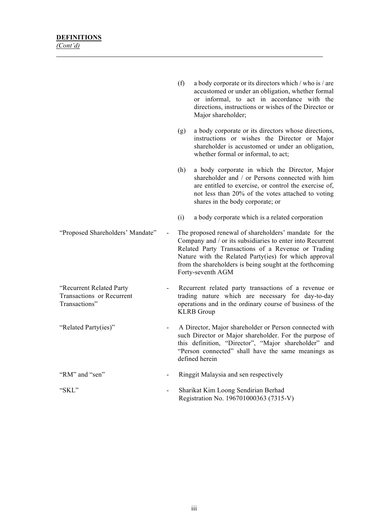|                                                                        | (f) | a body corporate or its directors which / who is / are<br>accustomed or under an obligation, whether formal<br>or informal, to act in accordance with the<br>directions, instructions or wishes of the Director or<br>Major shareholder;                                                                           |
|------------------------------------------------------------------------|-----|--------------------------------------------------------------------------------------------------------------------------------------------------------------------------------------------------------------------------------------------------------------------------------------------------------------------|
|                                                                        | (g) | a body corporate or its directors whose directions,<br>instructions or wishes the Director or Major<br>shareholder is accustomed or under an obligation,<br>whether formal or informal, to act;                                                                                                                    |
|                                                                        | (h) | a body corporate in which the Director, Major<br>shareholder and / or Persons connected with him<br>are entitled to exercise, or control the exercise of,<br>not less than 20% of the votes attached to voting<br>shares in the body corporate; or                                                                 |
|                                                                        | (i) | a body corporate which is a related corporation                                                                                                                                                                                                                                                                    |
| "Proposed Shareholders' Mandate"                                       |     | The proposed renewal of shareholders' mandate for the<br>Company and / or its subsidiaries to enter into Recurrent<br>Related Party Transactions of a Revenue or Trading<br>Nature with the Related Party(ies) for which approval<br>from the shareholders is being sought at the forthcoming<br>Forty-seventh AGM |
| "Recurrent Related Party<br>Transactions or Recurrent<br>Transactions" |     | Recurrent related party transactions of a revenue or<br>trading nature which are necessary for day-to-day<br>operations and in the ordinary course of business of the<br><b>KLRB</b> Group                                                                                                                         |
| "Related Party(ies)"                                                   |     | A Director, Major shareholder or Person connected with<br>such Director or Major shareholder. For the purpose of<br>this definition, "Director", "Major shareholder" and<br>"Person connected" shall have the same meanings as<br>defined herein                                                                   |
| "RM" and "sen"                                                         |     | Ringgit Malaysia and sen respectively                                                                                                                                                                                                                                                                              |

"SKL" - Sharikat Kim Loong Sendirian Berhad Registration No. 196701000363 (7315-V)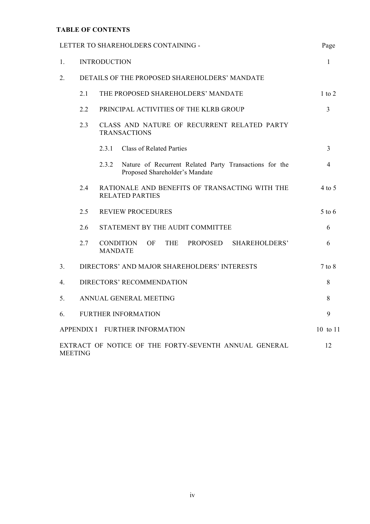# **TABLE OF CONTENTS**

| LETTER TO SHAREHOLDERS CONTAINING -                                           |                                                                           |                                                                                                   | Page           |  |
|-------------------------------------------------------------------------------|---------------------------------------------------------------------------|---------------------------------------------------------------------------------------------------|----------------|--|
| $\mathbf{1}$ .                                                                | <b>INTRODUCTION</b>                                                       |                                                                                                   |                |  |
| 2.                                                                            | DETAILS OF THE PROPOSED SHAREHOLDERS' MANDATE                             |                                                                                                   |                |  |
|                                                                               | 2.1                                                                       | THE PROPOSED SHAREHOLDERS' MANDATE                                                                | $1$ to $2$     |  |
|                                                                               | 2.2                                                                       | PRINCIPAL ACTIVITIES OF THE KLRB GROUP                                                            | $\overline{3}$ |  |
|                                                                               | 2.3<br>CLASS AND NATURE OF RECURRENT RELATED PARTY<br><b>TRANSACTIONS</b> |                                                                                                   |                |  |
|                                                                               |                                                                           | <b>Class of Related Parties</b><br>2.3.1                                                          | $\overline{3}$ |  |
|                                                                               |                                                                           | 2.3.2<br>Nature of Recurrent Related Party Transactions for the<br>Proposed Shareholder's Mandate | $\overline{4}$ |  |
|                                                                               | 2.4                                                                       | RATIONALE AND BENEFITS OF TRANSACTING WITH THE<br><b>RELATED PARTIES</b>                          | 4 to 5         |  |
|                                                                               | 2.5<br><b>REVIEW PROCEDURES</b>                                           |                                                                                                   |                |  |
|                                                                               | STATEMENT BY THE AUDIT COMMITTEE<br>2.6                                   |                                                                                                   |                |  |
|                                                                               | 2.7                                                                       | CONDITION<br><b>THE</b><br><b>PROPOSED</b><br>SHAREHOLDERS'<br>OF.<br><b>MANDATE</b>              | 6              |  |
| 3 <sub>1</sub><br>DIRECTORS' AND MAJOR SHAREHOLDERS' INTERESTS                |                                                                           |                                                                                                   |                |  |
| DIRECTORS' RECOMMENDATION<br>4.                                               |                                                                           |                                                                                                   |                |  |
| 5.                                                                            | ANNUAL GENERAL MEETING                                                    |                                                                                                   |                |  |
| <b>FURTHER INFORMATION</b><br>6.                                              |                                                                           |                                                                                                   | 9              |  |
| APPENDIX I FURTHER INFORMATION                                                |                                                                           |                                                                                                   | 10 to 11       |  |
| EXTRACT OF NOTICE OF THE FORTY-SEVENTH ANNUAL GENERAL<br>12<br><b>MEETING</b> |                                                                           |                                                                                                   |                |  |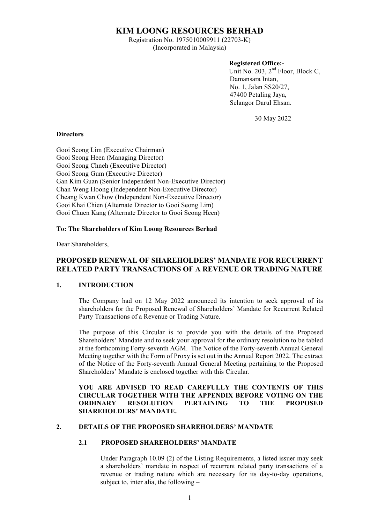# **KIM LOONG RESOURCES BERHAD**

Registration No. 1975010009911 (22703-K) (Incorporated in Malaysia)

### **Registered Office:-**

Unit No. 203,  $2<sup>nd</sup>$  Floor, Block C, Damansara Intan, No. 1, Jalan SS20/27, 47400 Petaling Jaya, Selangor Darul Ehsan.

30 May 2022

#### **Directors**

Gooi Seong Lim (Executive Chairman) Gooi Seong Heen (Managing Director) Gooi Seong Chneh (Executive Director) Gooi Seong Gum (Executive Director) Gan Kim Guan (Senior Independent Non-Executive Director) Chan Weng Hoong (Independent Non-Executive Director) Cheang Kwan Chow (Independent Non-Executive Director) Gooi Khai Chien (Alternate Director to Gooi Seong Lim) Gooi Chuen Kang (Alternate Director to Gooi Seong Heen)

### **To: The Shareholders of Kim Loong Resources Berhad**

Dear Shareholders,

## **PROPOSED RENEWAL OF SHAREHOLDERS' MANDATE FOR RECURRENT RELATED PARTY TRANSACTIONS OF A REVENUE OR TRADING NATURE**

### **1. INTRODUCTION**

The Company had on 12 May 2022 announced its intention to seek approval of its shareholders for the Proposed Renewal of Shareholders' Mandate for Recurrent Related Party Transactions of a Revenue or Trading Nature.

The purpose of this Circular is to provide you with the details of the Proposed Shareholders' Mandate and to seek your approval for the ordinary resolution to be tabled at the forthcoming Forty-seventh AGM. The Notice of the Forty-seventh Annual General Meeting together with the Form of Proxy is set out in the Annual Report 2022. The extract of the Notice of the Forty-seventh Annual General Meeting pertaining to the Proposed Shareholders' Mandate is enclosed together with this Circular.

## **YOU ARE ADVISED TO READ CAREFULLY THE CONTENTS OF THIS CIRCULAR TOGETHER WITH THE APPENDIX BEFORE VOTING ON THE ORDINARY RESOLUTION PERTAINING TO THE PROPOSED SHAREHOLDERS' MANDATE.**

## **2. DETAILS OF THE PROPOSED SHAREHOLDERS' MANDATE**

### **2.1 PROPOSED SHAREHOLDERS' MANDATE**

Under Paragraph 10.09 (2) of the Listing Requirements, a listed issuer may seek a shareholders' mandate in respect of recurrent related party transactions of a revenue or trading nature which are necessary for its day-to-day operations, subject to, inter alia, the following –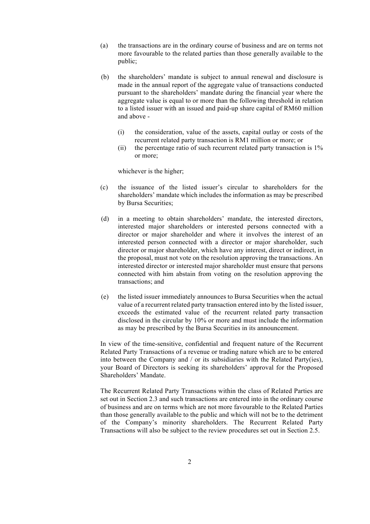- (a) the transactions are in the ordinary course of business and are on terms not more favourable to the related parties than those generally available to the public;
- (b) the shareholders' mandate is subject to annual renewal and disclosure is made in the annual report of the aggregate value of transactions conducted pursuant to the shareholders' mandate during the financial year where the aggregate value is equal to or more than the following threshold in relation to a listed issuer with an issued and paid-up share capital of RM60 million and above -
	- (i) the consideration, value of the assets, capital outlay or costs of the recurrent related party transaction is RM1 million or more; or
	- (ii) the percentage ratio of such recurrent related party transaction is 1% or more;

whichever is the higher;

- (c) the issuance of the listed issuer's circular to shareholders for the shareholders' mandate which includes the information as may be prescribed by Bursa Securities;
- (d) in a meeting to obtain shareholders' mandate, the interested directors, interested major shareholders or interested persons connected with a director or major shareholder and where it involves the interest of an interested person connected with a director or major shareholder, such director or major shareholder, which have any interest, direct or indirect, in the proposal, must not vote on the resolution approving the transactions. An interested director or interested major shareholder must ensure that persons connected with him abstain from voting on the resolution approving the transactions; and
- (e) the listed issuer immediately announces to Bursa Securities when the actual value of a recurrent related party transaction entered into by the listed issuer, exceeds the estimated value of the recurrent related party transaction disclosed in the circular by 10% or more and must include the information as may be prescribed by the Bursa Securities in its announcement.

In view of the time-sensitive, confidential and frequent nature of the Recurrent Related Party Transactions of a revenue or trading nature which are to be entered into between the Company and / or its subsidiaries with the Related Party(ies), your Board of Directors is seeking its shareholders' approval for the Proposed Shareholders' Mandate.

The Recurrent Related Party Transactions within the class of Related Parties are set out in Section 2.3 and such transactions are entered into in the ordinary course of business and are on terms which are not more favourable to the Related Parties than those generally available to the public and which will not be to the detriment of the Company's minority shareholders. The Recurrent Related Party Transactions will also be subject to the review procedures set out in Section 2.5.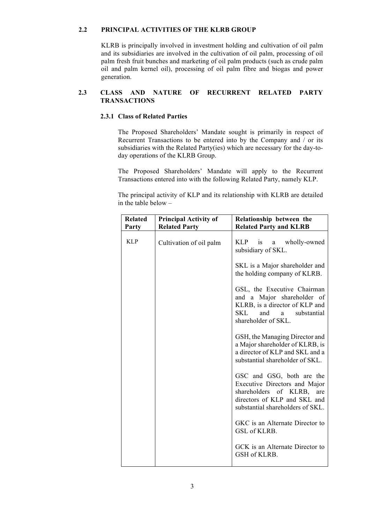## **2.2 PRINCIPAL ACTIVITIES OF THE KLRB GROUP**

KLRB is principally involved in investment holding and cultivation of oil palm and its subsidiaries are involved in the cultivation of oil palm, processing of oil palm fresh fruit bunches and marketing of oil palm products (such as crude palm oil and palm kernel oil), processing of oil palm fibre and biogas and power generation.

## **2.3 CLASS AND NATURE OF RECURRENT RELATED PARTY TRANSACTIONS**

## **2.3.1 Class of Related Parties**

The Proposed Shareholders' Mandate sought is primarily in respect of Recurrent Transactions to be entered into by the Company and / or its subsidiaries with the Related Party(ies) which are necessary for the day-today operations of the KLRB Group.

The Proposed Shareholders' Mandate will apply to the Recurrent Transactions entered into with the following Related Party, namely KLP.

The principal activity of KLP and its relationship with KLRB are detailed in the table below –

| <b>Related</b><br>Party | <b>Principal Activity of</b><br><b>Related Party</b> | Relationship between the<br><b>Related Party and KLRB</b>                                                                                                      |
|-------------------------|------------------------------------------------------|----------------------------------------------------------------------------------------------------------------------------------------------------------------|
| <b>KLP</b>              | Cultivation of oil palm                              | <b>KLP</b><br><i>is</i><br>wholly-owned<br>a<br>subsidiary of SKL.                                                                                             |
|                         |                                                      | SKL is a Major shareholder and<br>the holding company of KLRB.                                                                                                 |
|                         |                                                      | GSL, the Executive Chairman<br>and a Major shareholder of<br>KLRB, is a director of KLP and<br>SKL<br>and<br>a<br>substantial<br>shareholder of SKL.           |
|                         |                                                      | GSH, the Managing Director and<br>a Major shareholder of KLRB, is<br>a director of KLP and SKL and a<br>substantial shareholder of SKL.                        |
|                         |                                                      | GSC and GSG, both are the<br>Executive Directors and Major<br>shareholders of KLRB,<br>are<br>directors of KLP and SKL and<br>substantial shareholders of SKL. |
|                         |                                                      | GKC is an Alternate Director to<br>GSL of KLRB.                                                                                                                |
|                         |                                                      | GCK is an Alternate Director to<br>GSH of KLRB.                                                                                                                |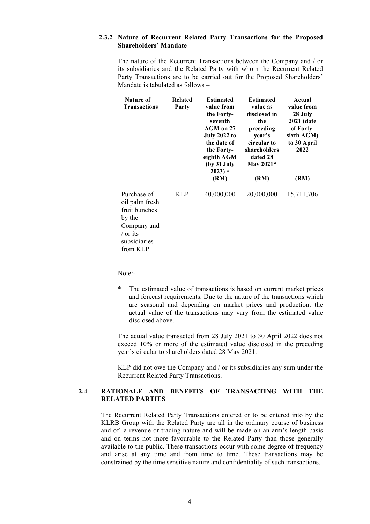### **2.3.2 Nature of Recurrent Related Party Transactions for the Proposed Shareholders' Mandate**

The nature of the Recurrent Transactions between the Company and / or its subsidiaries and the Related Party with whom the Recurrent Related Party Transactions are to be carried out for the Proposed Shareholders' Mandate is tabulated as follows –

| Nature of<br><b>Transactions</b>                                                                                       | <b>Related</b><br>Party | <b>Estimated</b><br>value from<br>the Forty-<br>seventh<br>AGM on 27<br><b>July 2022 to</b><br>the date of<br>the Forty-<br>eighth AGM<br>(by 31 July<br>$2023$ <sup>*</sup><br>(RM) | <b>Estimated</b><br>value as<br>disclosed in<br>the<br>preceding<br>year's<br>circular to<br>shareholders<br>dated 28<br>May 2021*<br>(RM) | Actual<br>value from<br>28 July<br><b>2021 (date</b><br>of Forty-<br>sixth AGM)<br>to 30 April<br>2022<br>(RM) |
|------------------------------------------------------------------------------------------------------------------------|-------------------------|--------------------------------------------------------------------------------------------------------------------------------------------------------------------------------------|--------------------------------------------------------------------------------------------------------------------------------------------|----------------------------------------------------------------------------------------------------------------|
| Purchase of<br>oil palm fresh<br>fruit bunches<br>by the<br>Company and<br>$\sqrt{$ or its<br>subsidiaries<br>from KLP | <b>KLP</b>              | 40,000,000                                                                                                                                                                           | 20,000,000                                                                                                                                 | 15,711,706                                                                                                     |

Note:-

The estimated value of transactions is based on current market prices and forecast requirements. Due to the nature of the transactions which are seasonal and depending on market prices and production, the actual value of the transactions may vary from the estimated value disclosed above.

The actual value transacted from 28 July 2021 to 30 April 2022 does not exceed 10% or more of the estimated value disclosed in the preceding year's circular to shareholders dated 28 May 2021.

KLP did not owe the Company and / or its subsidiaries any sum under the Recurrent Related Party Transactions.

## **2.4 RATIONALE AND BENEFITS OF TRANSACTING WITH THE RELATED PARTIES**

The Recurrent Related Party Transactions entered or to be entered into by the KLRB Group with the Related Party are all in the ordinary course of business and of a revenue or trading nature and will be made on an arm's length basis and on terms not more favourable to the Related Party than those generally available to the public. These transactions occur with some degree of frequency and arise at any time and from time to time. These transactions may be constrained by the time sensitive nature and confidentiality of such transactions.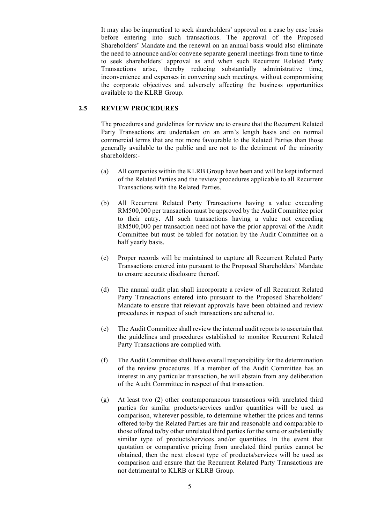It may also be impractical to seek shareholders' approval on a case by case basis before entering into such transactions. The approval of the Proposed Shareholders' Mandate and the renewal on an annual basis would also eliminate the need to announce and/or convene separate general meetings from time to time to seek shareholders' approval as and when such Recurrent Related Party Transactions arise, thereby reducing substantially administrative time, inconvenience and expenses in convening such meetings, without compromising the corporate objectives and adversely affecting the business opportunities available to the KLRB Group.

### **2.5 REVIEW PROCEDURES**

The procedures and guidelines for review are to ensure that the Recurrent Related Party Transactions are undertaken on an arm's length basis and on normal commercial terms that are not more favourable to the Related Parties than those generally available to the public and are not to the detriment of the minority shareholders:-

- (a) All companies within the KLRB Group have been and will be kept informed of the Related Parties and the review procedures applicable to all Recurrent Transactions with the Related Parties.
- (b) All Recurrent Related Party Transactions having a value exceeding RM500,000 per transaction must be approved by the Audit Committee prior to their entry. All such transactions having a value not exceeding RM500,000 per transaction need not have the prior approval of the Audit Committee but must be tabled for notation by the Audit Committee on a half yearly basis.
- (c) Proper records will be maintained to capture all Recurrent Related Party Transactions entered into pursuant to the Proposed Shareholders' Mandate to ensure accurate disclosure thereof.
- (d) The annual audit plan shall incorporate a review of all Recurrent Related Party Transactions entered into pursuant to the Proposed Shareholders' Mandate to ensure that relevant approvals have been obtained and review procedures in respect of such transactions are adhered to.
- (e) The Audit Committee shall review the internal audit reports to ascertain that the guidelines and procedures established to monitor Recurrent Related Party Transactions are complied with.
- (f) The Audit Committee shall have overall responsibility for the determination of the review procedures. If a member of the Audit Committee has an interest in any particular transaction, he will abstain from any deliberation of the Audit Committee in respect of that transaction.
- (g) At least two (2) other contemporaneous transactions with unrelated third parties for similar products/services and/or quantities will be used as comparison, wherever possible, to determine whether the prices and terms offered to/by the Related Parties are fair and reasonable and comparable to those offered to/by other unrelated third parties for the same or substantially similar type of products/services and/or quantities. In the event that quotation or comparative pricing from unrelated third parties cannot be obtained, then the next closest type of products/services will be used as comparison and ensure that the Recurrent Related Party Transactions are not detrimental to KLRB or KLRB Group.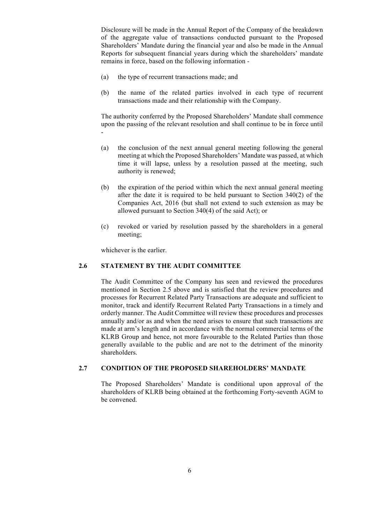Disclosure will be made in the Annual Report of the Company of the breakdown of the aggregate value of transactions conducted pursuant to the Proposed Shareholders' Mandate during the financial year and also be made in the Annual Reports for subsequent financial years during which the shareholders' mandate remains in force, based on the following information -

- (a) the type of recurrent transactions made; and
- (b) the name of the related parties involved in each type of recurrent transactions made and their relationship with the Company.

The authority conferred by the Proposed Shareholders' Mandate shall commence upon the passing of the relevant resolution and shall continue to be in force until -

- (a) the conclusion of the next annual general meeting following the general meeting at which the Proposed Shareholders' Mandate was passed, at which time it will lapse, unless by a resolution passed at the meeting, such authority is renewed;
- (b) the expiration of the period within which the next annual general meeting after the date it is required to be held pursuant to Section 340(2) of the Companies Act, 2016 (but shall not extend to such extension as may be allowed pursuant to Section 340(4) of the said Act); or
- (c) revoked or varied by resolution passed by the shareholders in a general meeting;

whichever is the earlier.

### **2.6 STATEMENT BY THE AUDIT COMMITTEE**

The Audit Committee of the Company has seen and reviewed the procedures mentioned in Section 2.5 above and is satisfied that the review procedures and processes for Recurrent Related Party Transactions are adequate and sufficient to monitor, track and identify Recurrent Related Party Transactions in a timely and orderly manner. The Audit Committee will review these procedures and processes annually and/or as and when the need arises to ensure that such transactions are made at arm's length and in accordance with the normal commercial terms of the KLRB Group and hence, not more favourable to the Related Parties than those generally available to the public and are not to the detriment of the minority shareholders.

### **2.7 CONDITION OF THE PROPOSED SHAREHOLDERS' MANDATE**

The Proposed Shareholders' Mandate is conditional upon approval of the shareholders of KLRB being obtained at the forthcoming Forty-seventh AGM to be convened.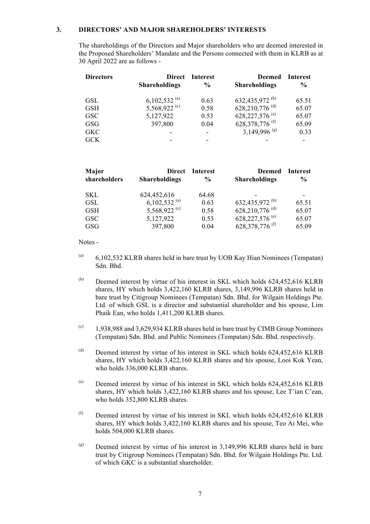#### **3. DIRECTORS' AND MAJOR SHAREHOLDERS' INTERESTS**

The shareholdings of the Directors and Major shareholders who are deemed interested in the Proposed Shareholders' Mandate and the Persons connected with them in KLRB as at 30 April 2022 are as follows -

| <b>Directors</b> | <b>Direct</b><br><b>Shareholdings</b> | Interest<br>$\frac{0}{0}$ | <b>Deemed</b><br><b>Shareholdings</b> | Interest<br>$\frac{6}{9}$ |
|------------------|---------------------------------------|---------------------------|---------------------------------------|---------------------------|
| <b>GSL</b>       | 6,102,532 $^{(a)}$                    | 0.63                      | 632,435,972 <sup>(b)</sup>            | 65.51                     |
| <b>GSH</b>       | 5,568,922 $\circ$                     | 0.58                      | 628,210,776 $(d)$                     | 65.07                     |
| <b>GSC</b>       | 5,127,922                             | 0.53                      | 628, 227, 576 <sup>(e)</sup>          | 65.07                     |
| GSG              | 397,800                               | 0.04                      | 628, 378, 776 <sup>(f)</sup>          | 65.09                     |
| <b>GKC</b>       |                                       | ۰                         | 3,149,996 <sup>(g)</sup>              | 0.33                      |
| <b>GCK</b>       |                                       |                           |                                       |                           |

| Major<br>shareholders | <b>Direct</b><br><b>Shareholdings</b> | <b>Interest</b><br>$\frac{6}{9}$ | Deemed<br><b>Shareholdings</b> | <b>Interest</b><br>$\frac{6}{9}$ |
|-----------------------|---------------------------------------|----------------------------------|--------------------------------|----------------------------------|
| SKL                   | 624,452,616                           | 64.68                            |                                |                                  |
| <b>GSL</b>            | 6,102,532 $^{(a)}$                    | 0.63                             | 632,435,972 <sup>(b)</sup>     | 65.51                            |
| <b>GSH</b>            | 5,568,922 <sup>(c)</sup>              | 0.58                             | 628,210,776 <sup>(d)</sup>     | 65.07                            |
| <b>GSC</b>            | 5,127,922                             | 0.53                             | 628, 227, 576 $(e)$            | 65.07                            |
| <b>GSG</b>            | 397,800                               | 0.04                             | 628, 378, 776 <sup>(f)</sup>   | 65.09                            |

Notes -

- $(3)$  6,102,532 KLRB shares held in bare trust by UOB Kay Hian Nominees (Tempatan) Sdn. Bhd.
- $(b)$  Deemed interest by virtue of his interest in SKL which holds 624,452,616 KLRB shares, HY which holds 3,422,160 KLRB shares, 3,149,996 KLRB shares held in bare trust by Citigroup Nominees (Tempatan) Sdn. Bhd. for Wilgain Holdings Pte. Ltd. of which GSL is a director and substantial shareholder and his spouse, Lim Phaik Ean, who holds 1,411,200 KLRB shares.
- $(1,938,988)$  and 3,629,934 KLRB shares held in bare trust by CIMB Group Nominees (Tempatan) Sdn. Bhd. and Public Nominees (Tempatan) Sdn. Bhd. respectively.
- $($ <sup>(d)</sup> Deemed interest by virtue of his interest in SKL which holds  $624,452,616$  KLRB shares, HY which holds 3,422,160 KLRB shares and his spouse, Looi Kok Yean, who holds 336,000 KLRB shares.
- $(e)$  Deemed interest by virtue of his interest in SKL which holds 624,452,616 KLRB shares, HY which holds 3,422,160 KLRB shares and his spouse, Lee T'ian C'ean, who holds 352,800 KLRB shares.
- $(6)$  Deemed interest by virtue of his interest in SKL which holds 624,452,616 KLRB shares, HY which holds 3,422,160 KLRB shares and his spouse, Teo Ai Mei, who holds 504,000 KLRB shares.
- $(9)$  Deemed interest by virtue of his interest in 3.149,996 KLRB shares held in bare trust by Citigroup Nominees (Tempatan) Sdn. Bhd. for Wilgain Holdings Pte. Ltd. of which GKC is a substantial shareholder.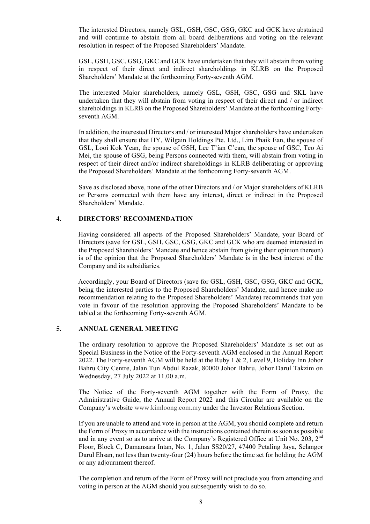The interested Directors, namely GSL, GSH, GSC, GSG, GKC and GCK have abstained and will continue to abstain from all board deliberations and voting on the relevant resolution in respect of the Proposed Shareholders' Mandate.

GSL, GSH, GSC, GSG, GKC and GCK have undertaken that they will abstain from voting in respect of their direct and indirect shareholdings in KLRB on the Proposed Shareholders' Mandate at the forthcoming Forty-seventh AGM.

The interested Major shareholders, namely GSL, GSH, GSC, GSG and SKL have undertaken that they will abstain from voting in respect of their direct and / or indirect shareholdings in KLRB on the Proposed Shareholders' Mandate at the forthcoming Fortyseventh AGM.

In addition, the interested Directors and / or interested Major shareholders have undertaken that they shall ensure that HY, Wilgain Holdings Pte. Ltd., Lim Phaik Ean, the spouse of GSL, Looi Kok Yean, the spouse of GSH, Lee T'ian C'ean, the spouse of GSC, Teo Ai Mei, the spouse of GSG, being Persons connected with them, will abstain from voting in respect of their direct and/or indirect shareholdings in KLRB deliberating or approving the Proposed Shareholders' Mandate at the forthcoming Forty-seventh AGM.

Save as disclosed above, none of the other Directors and / or Major shareholders of KLRB or Persons connected with them have any interest, direct or indirect in the Proposed Shareholders' Mandate.

#### **4. DIRECTORS' RECOMMENDATION**

 Having considered all aspects of the Proposed Shareholders' Mandate, your Board of Directors (save for GSL, GSH, GSC, GSG, GKC and GCK who are deemed interested in the Proposed Shareholders' Mandate and hence abstain from giving their opinion thereon) is of the opinion that the Proposed Shareholders' Mandate is in the best interest of the Company and its subsidiaries.

 Accordingly, your Board of Directors (save for GSL, GSH, GSC, GSG, GKC and GCK, being the interested parties to the Proposed Shareholders' Mandate, and hence make no recommendation relating to the Proposed Shareholders' Mandate) recommends that you vote in favour of the resolution approving the Proposed Shareholders' Mandate to be tabled at the forthcoming Forty-seventh AGM.

#### **5. ANNUAL GENERAL MEETING**

The ordinary resolution to approve the Proposed Shareholders' Mandate is set out as Special Business in the Notice of the Forty-seventh AGM enclosed in the Annual Report 2022. The Forty-seventh AGM will be held at the Ruby 1 & 2, Level 9, Holiday Inn Johor Bahru City Centre, Jalan Tun Abdul Razak, 80000 Johor Bahru, Johor Darul Takzim on Wednesday, 27 July 2022 at 11.00 a.m.

The Notice of the Forty-seventh AGM together with the Form of Proxy, the Administrative Guide, the Annual Report 2022 and this Circular are available on the Company's website www.kimloong.com.my under the Investor Relations Section.

If you are unable to attend and vote in person at the AGM, you should complete and return the Form of Proxy in accordance with the instructions contained therein as soon as possible and in any event so as to arrive at the Company's Registered Office at Unit No. 203, 2<sup>nd</sup> Floor, Block C, Damansara Intan, No. 1, Jalan SS20/27, 47400 Petaling Jaya, Selangor Darul Ehsan, not less than twenty-four (24) hours before the time set for holding the AGM or any adjournment thereof.

The completion and return of the Form of Proxy will not preclude you from attending and voting in person at the AGM should you subsequently wish to do so.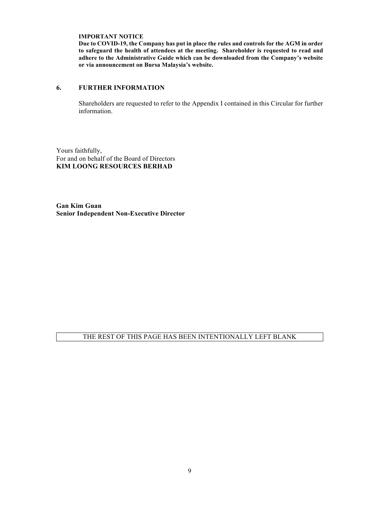**IMPORTANT NOTICE** 

**Due to COVID-19, the Company has put in place the rules and controls for the AGM in order to safeguard the health of attendees at the meeting. Shareholder is requested to read and adhere to the Administrative Guide which can be downloaded from the Company's website or via announcement on Bursa Malaysia's website.** 

#### **6. FURTHER INFORMATION**

Shareholders are requested to refer to the Appendix I contained in this Circular for further information.

Yours faithfully, For and on behalf of the Board of Directors **KIM LOONG RESOURCES BERHAD**

**Gan Kim Guan Senior Independent Non-Executive Director**

## THE REST OF THIS PAGE HAS BEEN INTENTIONALLY LEFT BLANK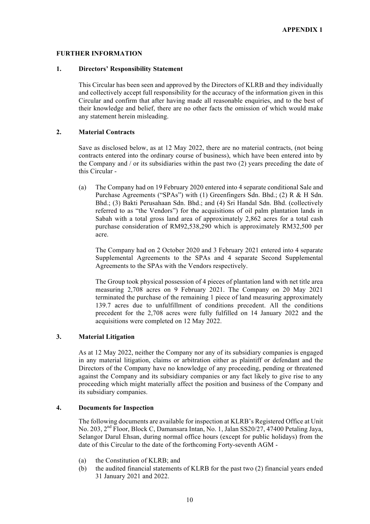#### **FURTHER INFORMATION**

#### **1. Directors' Responsibility Statement**

This Circular has been seen and approved by the Directors of KLRB and they individually and collectively accept full responsibility for the accuracy of the information given in this Circular and confirm that after having made all reasonable enquiries, and to the best of their knowledge and belief, there are no other facts the omission of which would make any statement herein misleading.

### **2. Material Contracts**

Save as disclosed below, as at 12 May 2022, there are no material contracts, (not being contracts entered into the ordinary course of business), which have been entered into by the Company and  $\ell$  or its subsidiaries within the past two  $(2)$  years preceding the date of this Circular -

(a) The Company had on 19 February 2020 entered into 4 separate conditional Sale and Purchase Agreements ("SPAs") with (1) Greenfingers Sdn. Bhd.; (2) R & H Sdn. Bhd.; (3) Bakti Perusahaan Sdn. Bhd.; and (4) Sri Handal Sdn. Bhd. (collectively referred to as "the Vendors") for the acquisitions of oil palm plantation lands in Sabah with a total gross land area of approximately 2,862 acres for a total cash purchase consideration of RM92,538,290 which is approximately RM32,500 per acre.

The Company had on 2 October 2020 and 3 February 2021 entered into 4 separate Supplemental Agreements to the SPAs and 4 separate Second Supplemental Agreements to the SPAs with the Vendors respectively.

The Group took physical possession of 4 pieces of plantation land with net title area measuring 2,708 acres on 9 February 2021. The Company on 20 May 2021 terminated the purchase of the remaining 1 piece of land measuring approximately 139.7 acres due to unfulfillment of conditions precedent. All the conditions precedent for the 2,708 acres were fully fulfilled on 14 January 2022 and the acquisitions were completed on 12 May 2022.

## **3. Material Litigation**

As at 12 May 2022, neither the Company nor any of its subsidiary companies is engaged in any material litigation, claims or arbitration either as plaintiff or defendant and the Directors of the Company have no knowledge of any proceeding, pending or threatened against the Company and its subsidiary companies or any fact likely to give rise to any proceeding which might materially affect the position and business of the Company and its subsidiary companies.

## **4. Documents for Inspection**

The following documents are available for inspection at KLRB's Registered Office at Unit No. 203, 2nd Floor, Block C, Damansara Intan, No. 1, Jalan SS20/27, 47400 Petaling Jaya, Selangor Darul Ehsan, during normal office hours (except for public holidays) from the date of this Circular to the date of the forthcoming Forty-seventh AGM -

- (a) the Constitution of KLRB; and
- (b) the audited financial statements of KLRB for the past two (2) financial years ended 31 January 2021 and 2022.